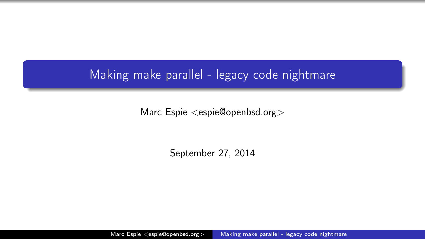## Making make parallel - legacy code nightmare

Marc Espie <espie@openbsd.org>

<span id="page-0-0"></span>September 27, 2014

Marc Espie <espie@openbsd.org> [Making make parallel - legacy code nightmare](#page-43-0)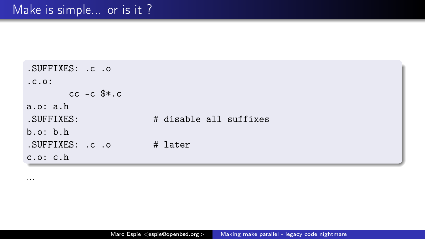```
.SUFFIXES: .c .o
.c.o:
      cc -c \text{**}.ca.o: a.h
.SUFFIXES: # disable all suffixes
b.o: b.h
.SUFFIXES: .c .o # later
c.o: c.h
```
...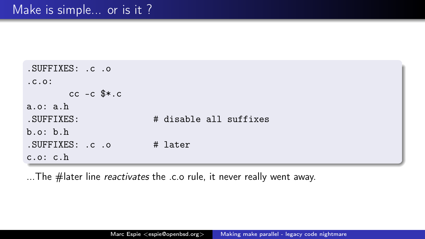```
.SUFFIXES: .c .o
.0.01cc -c \text{$}*.c
a.o: a.h
.SUFFIXES: # disable all suffixes
b.o: b.h
.SUFFIXES: .c .o # later
c.o: c.h
```
...The #later line *reactivates* the .c.o rule, it never really went away.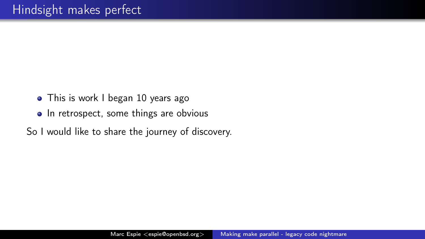- This is work I began 10 years ago
- In retrospect, some things are obvious
- So I would like to share the journey of discovery.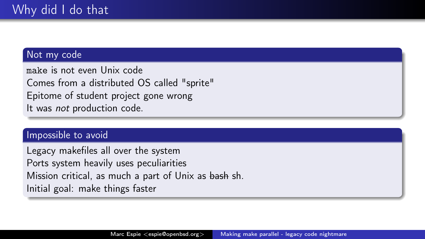### Not my code

make is not even Unix code Comes from a distributed OS called "sprite" Epitome of student project gone wrong It was not production code.

### Impossible to avoid

Legacy makefiles all over the system Ports system heavily uses peculiarities Mission critical, as much a part of Unix as bash sh. Initial goal: make things faster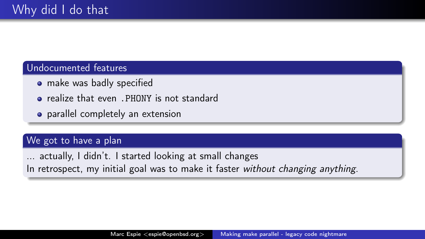### Undocumented features

- make was badly specified
- **•** realize that even . PHONY is not standard
- parallel completely an extension

### We got to have a plan

actually, I didn't. I started looking at small changes In retrospect, my initial goal was to make it faster without changing anything.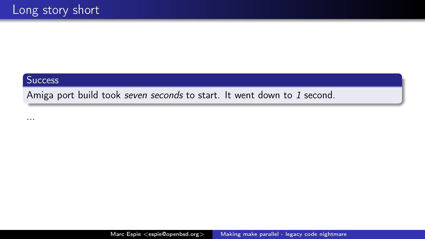#### **Success**

Amiga port build took seven seconds to start. It went down to 1 second.

...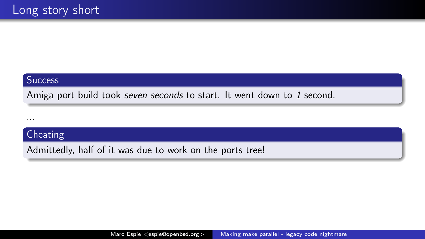#### **Success**

Amiga port build took seven seconds to start. It went down to 1 second.

...

### Cheating

Admittedly, half of it was due to work on the ports tree!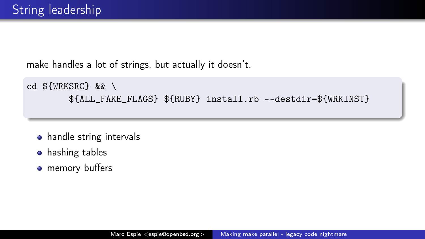make handles a lot of strings, but actually it doesn't.

```
cd \mathcal{F} (WRKSRC) & & \
         ${ALL_FAKE_FLAGS} ${RUBY} install.rb --destdir=${WRKINST}
```
- handle string intervals
- **•** hashing tables
- **•** memory buffers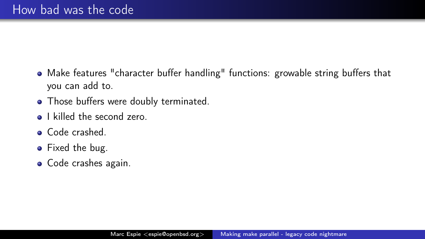- Make features "character buffer handling" functions: growable string buffers that you can add to.
- Those buffers were doubly terminated.
- **a** I killed the second zero.
- Code crashed.
- Fixed the bug.
- Code crashes again.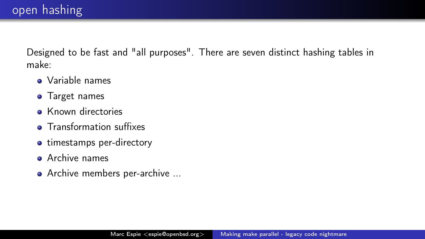Designed to be fast and "all purposes". There are seven distinct hashing tables in make:

- Variable names
- Target names
- Known directories
- **•** Transformation suffixes
- timestamps per-directory
- **Archive names**
- Archive members per-archive ...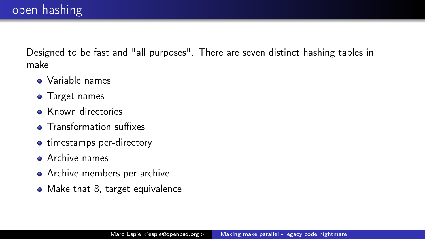Designed to be fast and "all purposes". There are seven distinct hashing tables in make:

- Variable names
- Target names
- Known directories
- **•** Transformation suffixes
- timestamps per-directory
- **Archive names**
- Archive members per-archive ...
- Make that 8, target equivalence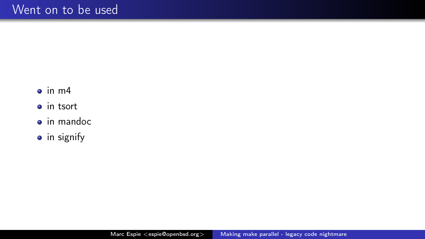- $\bullet$  in m4
- in tsort
- **o** in mandoc
- $\bullet$  in signify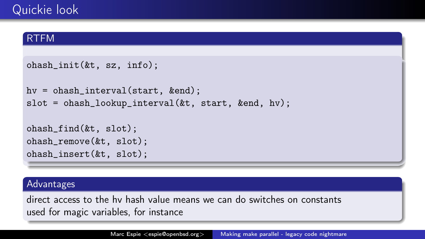### RTFM

```
ohash_init(&t, sz, info);
```

```
hv = ohash interval(start, &end);
slot = ohash_lookup_interval(&t, start, &end, hv);
```

```
ohash_find(&t, slot);
ohash_remove(&t, slot);
ohash_insert(&t, slot);
```
#### Advantages

direct access to the hv hash value means we can do switches on constants used for magic variables, for instance

Marc Espie <espie@openbsd.org> [Making make parallel - legacy code nightmare](#page-0-0)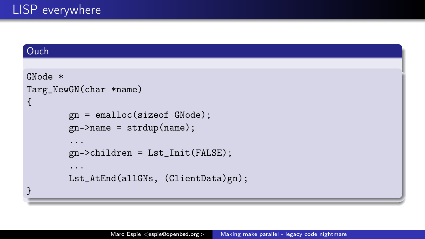### Ouch

```
GNode *
Targ_NewGN(char *name)
{
        gn = emalloc(sizeof GNode);
        gn->name = strdup(name);
        ...
        gn->children = Lst_Init(FALSE);
        ...
        Lst_AtEnd(allGNs, (ClientData)gn);
}
```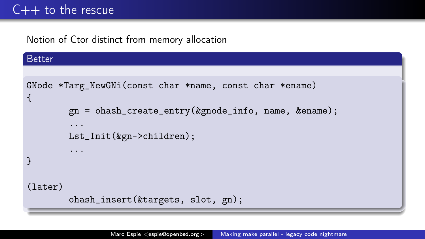## $C++$  to the rescue

Notion of Ctor distinct from memory allocation

### Better

```
GNode *Targ_NewGNi(const char *name, const char *ename)
{
        gn = ohash_create_entry(&gnode_info, name, &ename);
        ...
        Lst_Init(&gn->children);
        ...
}
(later)
```

```
ohash_insert(&targets, slot, gn);
```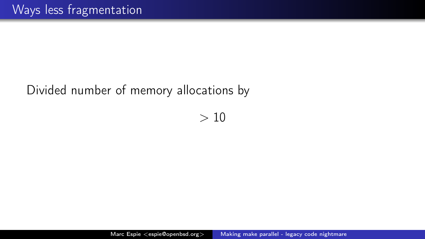## Divided number of memory allocations by

 $> 10$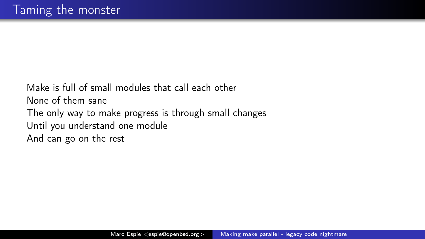Make is full of small modules that call each other None of them sane The only way to make progress is through small changes Until you understand one module And can go on the rest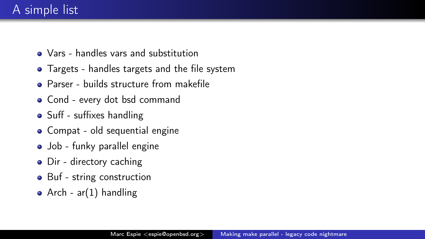## A simple list

- Vars handles vars and substitution
- Targets handles targets and the file system
- **Parser builds structure from makefile**
- Cond every dot bsd command
- Suff suffixes handling
- Compat old sequential engine
- Job funky parallel engine
- Dir directory caching
- Buf string construction
- Arch  $ar(1)$  handling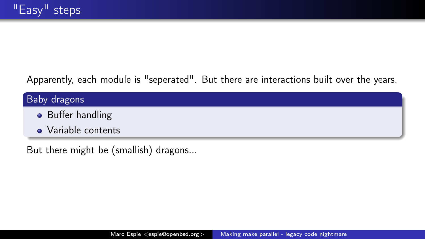Apparently, each module is "seperated". But there are interactions built over the years.

# Baby dragons **•** Buffer handling • Variable contents

But there might be (smallish) dragons...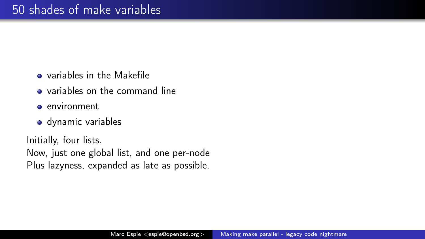- variables in the Makefile
- variables on the command line
- environment
- dynamic variables

Initially, four lists.

Now, just one global list, and one per-node Plus lazyness, expanded as late as possible.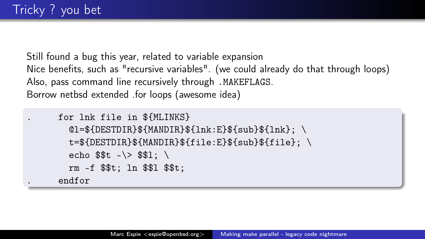Still found a bug this year, related to variable expansion Nice benefits, such as "recursive variables". (we could already do that through loops) Also, pass command line recursively through .MAKEFLAGS. Borrow netbsd extended .for loops (awesome idea)

```
. for lnk file in ${MLINKS}
  @l = $fDESTDIR}${MANDIR}}${lnk : E}${sub}}${lnk}: \ \ \ \ \ \ \t=${DESTDIR}${MANDIR}${file:E}${sub}${file}; \
  echo $t - \ > $1: \ \ rm -f $$t; ln $$l $$t;
. endfor
```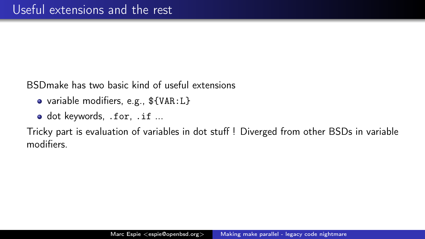BSDmake has two basic kind of useful extensions

- variable modifiers, e.g., \${VAR:L}
- o dot keywords, .for, .if ...

Tricky part is evaluation of variables in dot stuff ! Diverged from other BSDs in variable modifiers.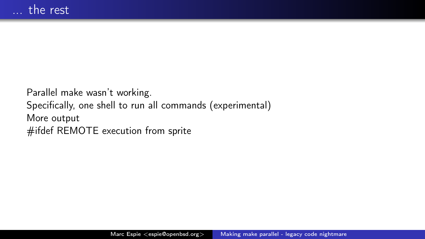Parallel make wasn't working. Specifically, one shell to run all commands (experimental) More output #ifdef REMOTE execution from sprite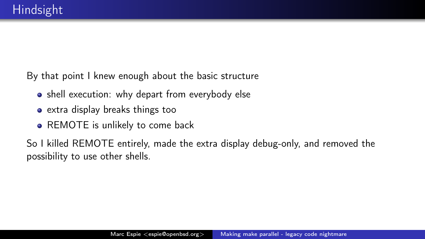By that point I knew enough about the basic structure

- shell execution: why depart from everybody else
- extra display breaks things too
- REMOTE is unlikely to come back

So I killed REMOTE entirely, made the extra display debug-only, and removed the possibility to use other shells.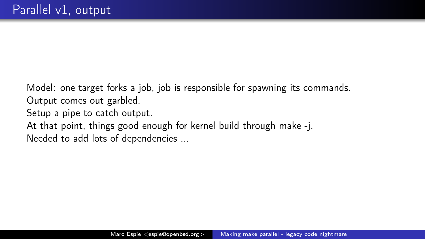Model: one target forks a job, job is responsible for spawning its commands. Output comes out garbled.

Setup a pipe to catch output.

At that point, things good enough for kernel build through make -j. Needed to add lots of dependencies ...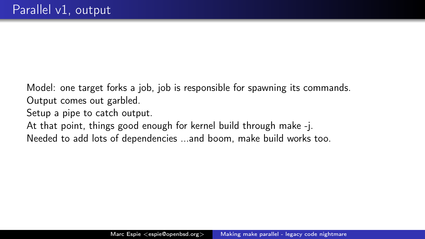Model: one target forks a job, job is responsible for spawning its commands. Output comes out garbled.

Setup a pipe to catch output.

At that point, things good enough for kernel build through make -j. Needed to add lots of dependencies ...and boom, make build works too.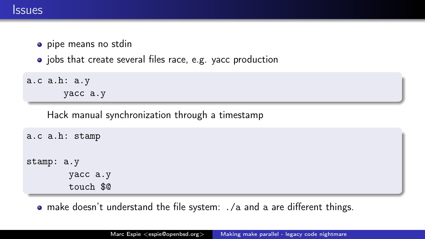- **•** pipe means no stdin
- jobs that create several files race, e.g. vacc production

```
a.c a.h: a.y
       yacc a.y
```
Hack manual synchronization through a timestamp

```
a.c a.h: stamp
stamp: a.y
        yacc a.y
        touch $@
```
make doesn't understand the file system: ./a and a are different things.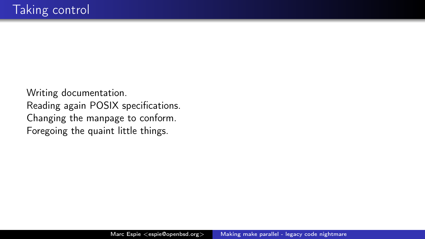Writing documentation. Reading again POSIX specifications. Changing the manpage to conform. Foregoing the quaint little things.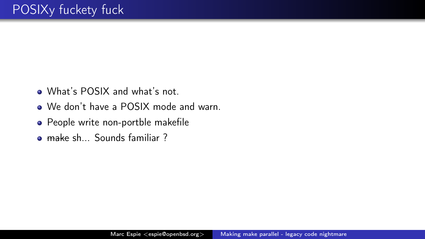- What's POSIX and what's not.
- We don't have a POSIX mode and warn.
- People write non-portble makefile
- **e** make sh... Sounds familiar ?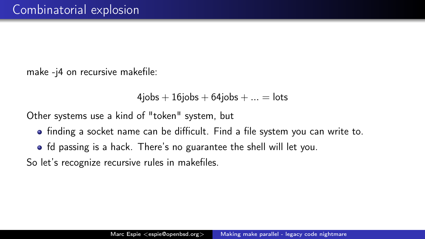make -j4 on recursive makefile:

```
4iobs + 16iobs + 64iobs + ... = lots
```
Other systems use a kind of "token" system, but

- finding a socket name can be difficult. Find a file system you can write to.
- fd passing is a hack. There's no guarantee the shell will let you.

So let's recognize recursive rules in makefiles.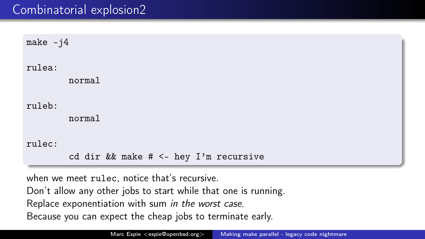## Combinatorial explosion2

make  $-i4$ 

rulea:

normal

ruleb:

normal

rulec:

cd dir && make # <- hey I'm recursive

when we meet rulec, notice that's recursive. Don't allow any other jobs to start while that one is running. Replace exponentiation with sum in the worst case. Because you can expect the cheap jobs to terminate early.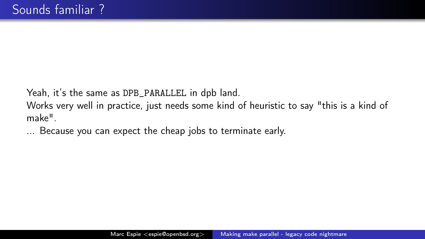Yeah, it's the same as DPB\_PARALLEL in dpb land.

Works very well in practice, just needs some kind of heuristic to say "this is a kind of make".

... Because you can expect the cheap jobs to terminate early.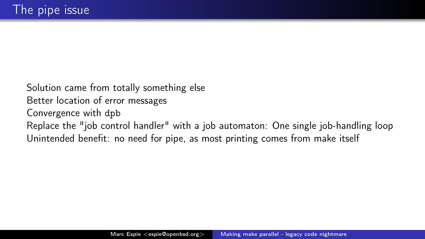Solution came from totally something else Better location of error messages Convergence with dpb Replace the "job control handler" with a job automaton: One single job-handling loop Unintended benefit: no need for pipe, as most printing comes from make itself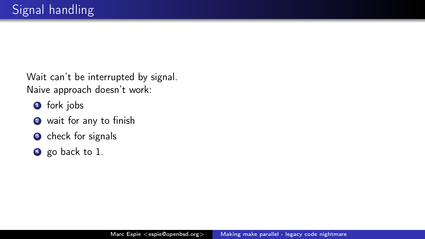Wait can't be interrupted by signal. Naive approach doesn't work:

- **1** fork jobs
- <sup>2</sup> wait for any to finish
- **3** check for signals
- **4** go back to 1.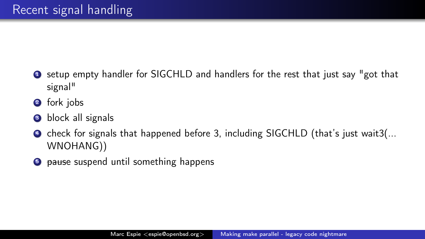- **1** setup empty handler for SIGCHLD and handlers for the rest that just say "got that signal"
- 2 fork jobs
- **3** block all signals
- **4** check for signals that happened before 3, including SIGCHLD (that's just wait3(... WNOHANG))
- **5** pause suspend until something happens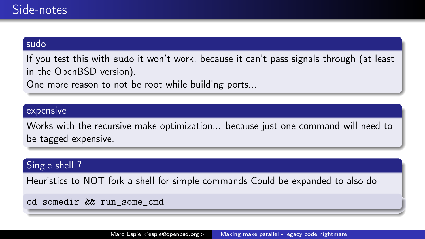### sudo

If you test this with sudo it won't work, because it can't pass signals through (at least in the OpenBSD version).

One more reason to not be root while building ports...

#### expensive

Works with the recursive make optimization... because just one command will need to be tagged expensive.

#### Single shell ?

Heuristics to NOT fork a shell for simple commands Could be expanded to also do

cd somedir && run\_some\_cmd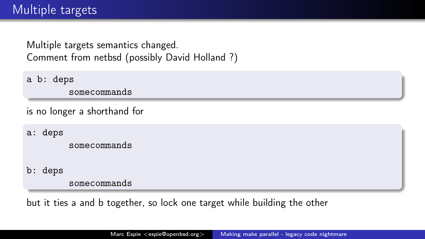Multiple targets semantics changed. Comment from netbsd (possibly David Holland ?)

a b: deps

somecommands

is no longer a shorthand for

a: deps

somecommands

b: deps

somecommands

but it ties a and b together, so lock one target while building the other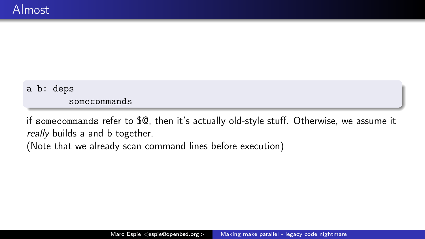### a b: deps

somecommands

if somecommands refer to \$@, then it's actually old-style stuff. Otherwise, we assume it really builds a and b together.

(Note that we already scan command lines before execution)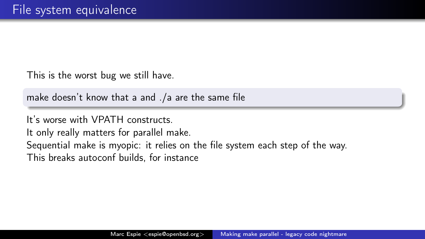This is the worst bug we still have.

make doesn't know that a and ./a are the same file

It's worse with VPATH constructs.

It only really matters for parallel make.

Sequential make is myopic: it relies on the file system each step of the way.

This breaks autoconf builds, for instance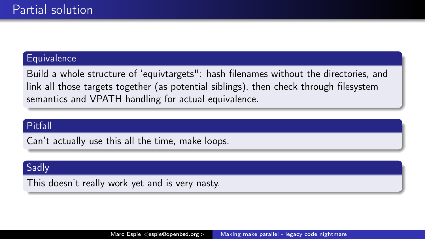#### **Equivalence**

Build a whole structure of 'equivtargets": hash filenames without the directories, and link all those targets together (as potential siblings), then check through filesystem semantics and VPATH handling for actual equivalence.

### Pitfall

Can't actually use this all the time, make loops.

### Sadly

This doesn't really work yet and is very nasty.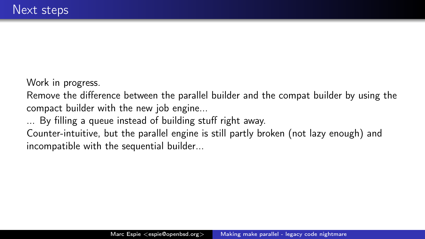Work in progress.

Remove the difference between the parallel builder and the compat builder by using the compact builder with the new job engine...

By filling a queue instead of building stuff right away.

Counter-intuitive, but the parallel engine is still partly broken (not lazy enough) and incompatible with the sequential builder...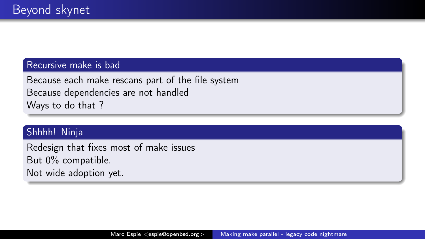### Recursive make is bad

Because each make rescans part of the file system Because dependencies are not handled Ways to do that ?

### Shhhh! Ninja

Redesign that fixes most of make issues But 0% compatible. Not wide adoption yet.